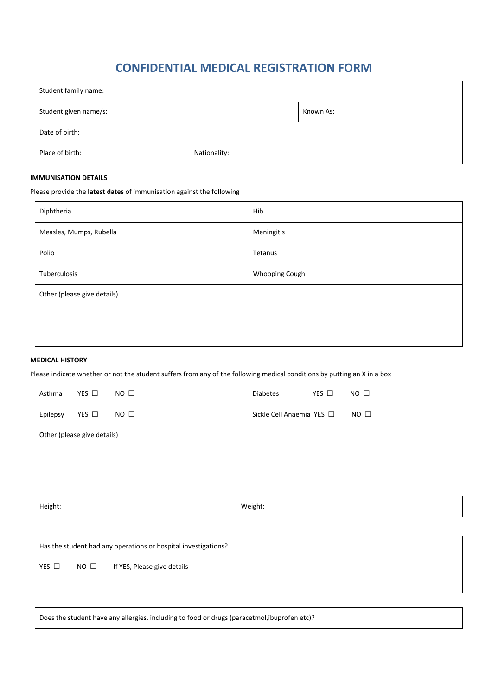## **CONFIDENTIAL MEDICAL REGISTRATION FORM**

| Student family name:  |              |  |  |  |  |  |
|-----------------------|--------------|--|--|--|--|--|
| Student given name/s: | Known As:    |  |  |  |  |  |
| Date of birth:        |              |  |  |  |  |  |
| Place of birth:       | Nationality: |  |  |  |  |  |

## **IMMUNISATION DETAILS**

Please provide the **latest dates** of immunisation against the following

| Diphtheria                  | Hib            |  |  |  |  |
|-----------------------------|----------------|--|--|--|--|
| Measles, Mumps, Rubella     | Meningitis     |  |  |  |  |
| Polio                       | Tetanus        |  |  |  |  |
| Tuberculosis                | Whooping Cough |  |  |  |  |
| Other (please give details) |                |  |  |  |  |
|                             |                |  |  |  |  |
|                             |                |  |  |  |  |

## **MEDICAL HISTORY**

Please indicate whether or not the student suffers from any of the following medical conditions by putting an X in a box

| Asthma                      | YES $\Box$    | $NO$ $\square$ | <b>Diabetes</b>           | YES $\square$ | $NO$ $\Box$ |  |
|-----------------------------|---------------|----------------|---------------------------|---------------|-------------|--|
| Epilepsy                    | YES $\square$ | $NO$ $\square$ | Sickle Cell Anaemia YES □ |               | $NO$ $\Box$ |  |
| Other (please give details) |               |                |                           |               |             |  |
|                             |               |                |                           |               |             |  |
|                             |               |                |                           |               |             |  |

Height: Weight:

Has the student had any operations or hospital investigations?

YES  $\Box$  NO  $\Box$  If YES, Please give details

Does the student have any allergies, including to food or drugs (paracetmol,ibuprofen etc)?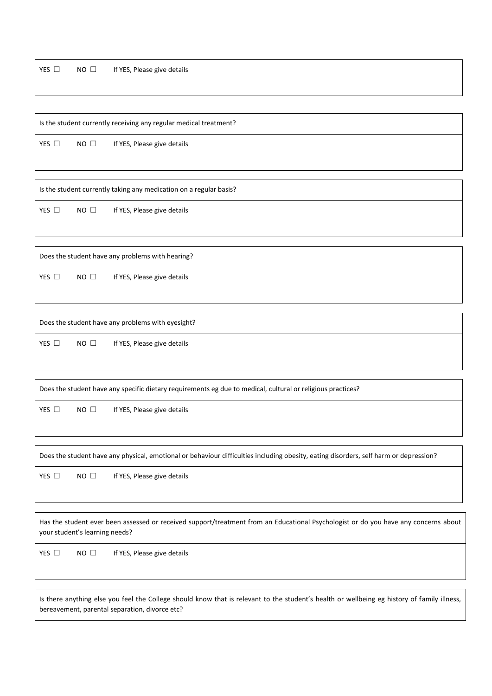$YES \Box \qquad NO \Box$  If YES, Please give details

Is the student currently receiving any regular medical treatment?

YES  $\Box$  NO  $\Box$  If YES, Please give details

Is the student currently taking any medication on a regular basis?

YES  $\Box$  NO  $\Box$  If YES, Please give details

Does the student have any problems with hearing?

YES  $\Box$  NO  $\Box$  If YES, Please give details

Does the student have any problems with eyesight?

YES  $\Box$  NO  $\Box$  If YES, Please give details

Does the student have any specific dietary requirements eg due to medical, cultural or religious practices? YES  $\Box$  NO  $\Box$  If YES, Please give details

Does the student have any physical, emotional or behaviour difficulties including obesity, eating disorders, self harm or depression?

YES  $\Box$  NO  $\Box$  If YES, Please give details

Has the student ever been assessed or received support/treatment from an Educational Psychologist or do you have any concerns about your student's learning needs?

YES  $\Box$  NO  $\Box$  If YES, Please give details

Is there anything else you feel the College should know that is relevant to the student's health or wellbeing eg history of family illness, bereavement, parental separation, divorce etc?